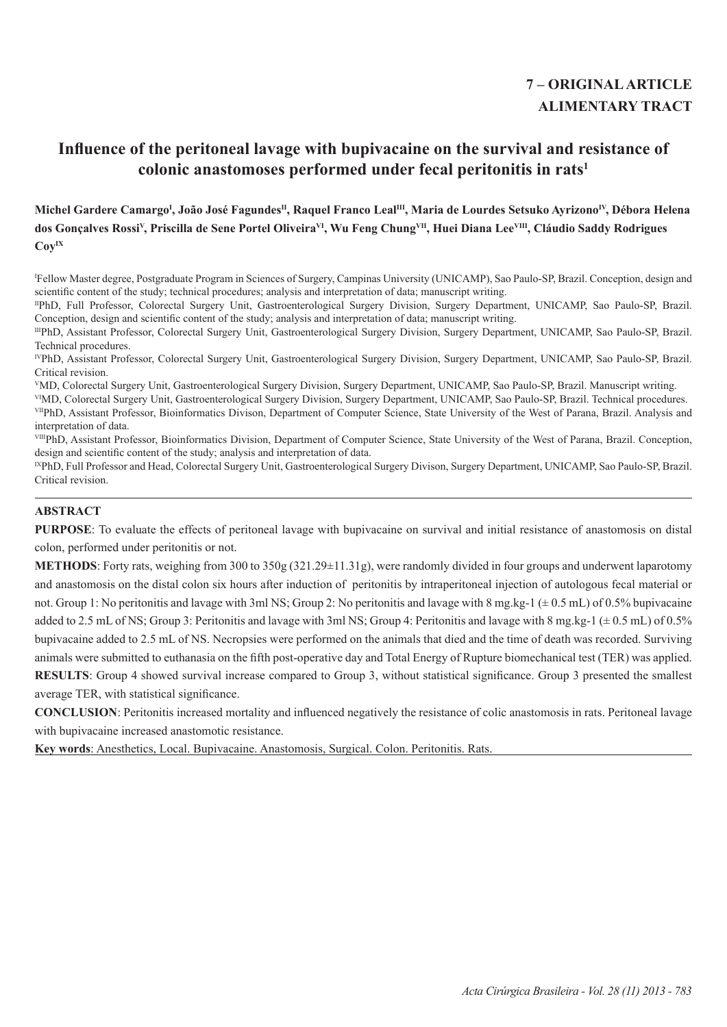# **7 – ORIGINAL ARTICLE ALIMENTARY TRACT**

# **Influence of the peritoneal lavage with bupivacaine on the survival and resistance of colonic anastomoses performed under fecal peritonitis in rats<sup>1</sup>**

**Michel Gardere Camargo<sup>I</sup> , João José FagundesII, Raquel Franco LealIII, Maria de Lourdes Setsuko AyrizonoIV, Débora Helena dos Gonçalves Rossi<sup>V</sup>, Priscilla de Sene Portel OliveiraVI, Wu Feng ChungVII, Huei Diana LeeVIII, Cláudio Saddy Rodrigues CoyIX**

I Fellow Master degree, Postgraduate Program in Sciences of Surgery, Campinas University (UNICAMP), Sao Paulo-SP, Brazil. Conception, design and scientific content of the study; technical procedures; analysis and interpretation of data; manuscript writing.

IIPhD, Full Professor, Colorectal Surgery Unit, Gastroenterological Surgery Division, Surgery Department, UNICAMP, Sao Paulo-SP, Brazil. Conception, design and scientific content of the study; analysis and interpretation of data; manuscript writing.

IIIPhD, Assistant Professor, Colorectal Surgery Unit, Gastroenterological Surgery Division, Surgery Department, UNICAMP, Sao Paulo-SP, Brazil. Technical procedures.

IVPhD, Assistant Professor, Colorectal Surgery Unit, Gastroenterological Surgery Division, Surgery Department, UNICAMP, Sao Paulo-SP, Brazil. Critical revision.

<sup>V</sup>MD, Colorectal Surgery Unit, Gastroenterological Surgery Division, Surgery Department, UNICAMP, Sao Paulo-SP, Brazil. Manuscript writing.

VIMD, Colorectal Surgery Unit, Gastroenterological Surgery Division, Surgery Department, UNICAMP, Sao Paulo-SP, Brazil. Technical procedures. VIIPhD, Assistant Professor, Bioinformatics Divison, Department of Computer Science, State University of the West of Parana, Brazil. Analysis and interpretation of data.

VIIIPhD, Assistant Professor, Bioinformatics Division, Department of Computer Science, State University of the West of Parana, Brazil. Conception, design and scientific content of the study; analysis and interpretation of data.

IXPhD, Full Professor and Head, Colorectal Surgery Unit, Gastroenterological Surgery Divison, Surgery Department, UNICAMP, Sao Paulo-SP, Brazil. Critical revision.

## **ABSTRACT**

**PURPOSE**: To evaluate the effects of peritoneal lavage with bupivacaine on survival and initial resistance of anastomosis on distal colon, performed under peritonitis or not.

**METHODS**: Forty rats, weighing from 300 to 350g (321.29±11.31g), were randomly divided in four groups and underwent laparotomy and anastomosis on the distal colon six hours after induction of peritonitis by intraperitoneal injection of autologous fecal material or not. Group 1: No peritonitis and lavage with 3ml NS; Group 2: No peritonitis and lavage with 8 mg.kg-1 ( $\pm$  0.5 mL) of 0.5% bupivacaine added to 2.5 mL of NS; Group 3: Peritonitis and lavage with 3ml NS; Group 4: Peritonitis and lavage with 8 mg.kg-1 ( $\pm$  0.5 mL) of 0.5% bupivacaine added to 2.5 mL of NS. Necropsies were performed on the animals that died and the time of death was recorded. Surviving animals were submitted to euthanasia on the fifth post-operative day and Total Energy of Rupture biomechanical test (TER) was applied. **RESULTS**: Group 4 showed survival increase compared to Group 3, without statistical significance. Group 3 presented the smallest average TER, with statistical significance.

**CONCLUSION**: Peritonitis increased mortality and influenced negatively the resistance of colic anastomosis in rats. Peritoneal lavage with bupivacaine increased anastomotic resistance.

**Key words**: Anesthetics, Local. Bupivacaine. Anastomosis, Surgical. Colon. Peritonitis. Rats.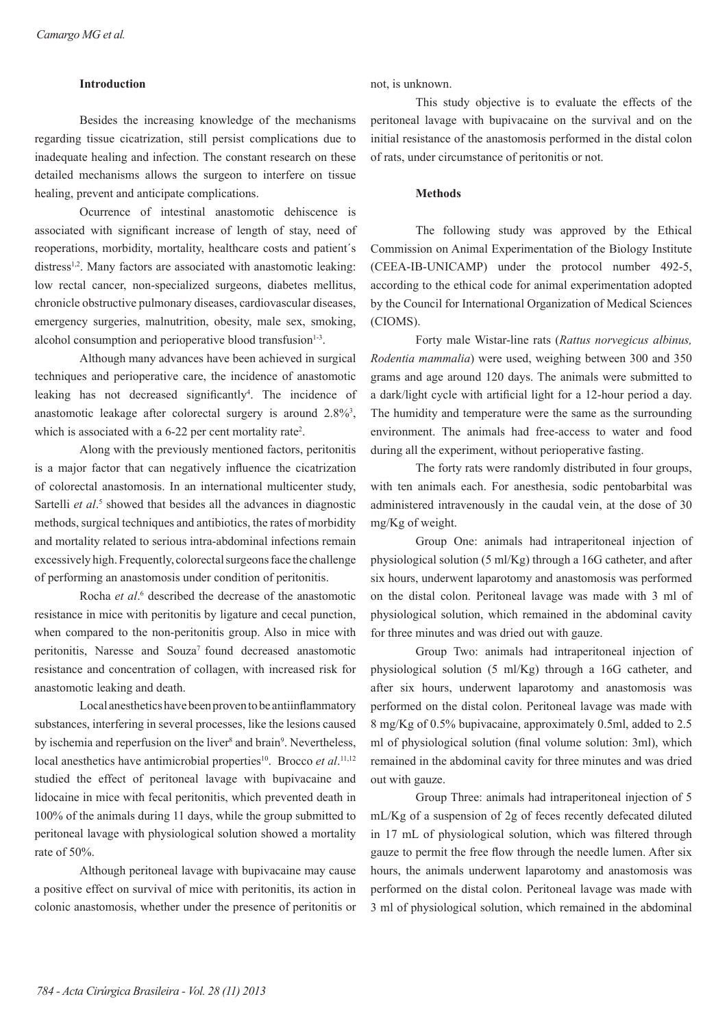### **Introduction**

Besides the increasing knowledge of the mechanisms regarding tissue cicatrization, still persist complications due to inadequate healing and infection. The constant research on these detailed mechanisms allows the surgeon to interfere on tissue healing, prevent and anticipate complications.

Ocurrence of intestinal anastomotic dehiscence is associated with significant increase of length of stay, need of reoperations, morbidity, mortality, healthcare costs and patient´s distress<sup>1,2</sup>. Many factors are associated with anastomotic leaking: low rectal cancer, non-specialized surgeons, diabetes mellitus, chronicle obstructive pulmonary diseases, cardiovascular diseases, emergency surgeries, malnutrition, obesity, male sex, smoking, alcohol consumption and perioperative blood transfusion $1-3$ .

Although many advances have been achieved in surgical techniques and perioperative care, the incidence of anastomotic leaking has not decreased significantly<sup>4</sup>. The incidence of anastomotic leakage after colorectal surgery is around  $2.8\%$ <sup>3</sup>, which is associated with a 6-22 per cent mortality rate<sup>2</sup>.

Along with the previously mentioned factors, peritonitis is a major factor that can negatively influence the cicatrization of colorectal anastomosis. In an international multicenter study, Sartelli *et al.*<sup>5</sup> showed that besides all the advances in diagnostic methods, surgical techniques and antibiotics, the rates of morbidity and mortality related to serious intra-abdominal infections remain excessively high. Frequently, colorectal surgeons face the challenge of performing an anastomosis under condition of peritonitis.

Rocha *et al.*<sup>6</sup> described the decrease of the anastomotic resistance in mice with peritonitis by ligature and cecal punction, when compared to the non-peritonitis group. Also in mice with peritonitis, Naresse and Souza<sup>7</sup> found decreased anastomotic resistance and concentration of collagen, with increased risk for anastomotic leaking and death.

Local anesthetics have been proven to be antiinflammatory substances, interfering in several processes, like the lesions caused by ischemia and reperfusion on the liver<sup>8</sup> and brain<sup>9</sup>. Nevertheless, local anesthetics have antimicrobial properties<sup>10</sup>. Brocco *et al.*<sup>11,12</sup> studied the effect of peritoneal lavage with bupivacaine and lidocaine in mice with fecal peritonitis, which prevented death in 100% of the animals during 11 days, while the group submitted to peritoneal lavage with physiological solution showed a mortality rate of 50%.

Although peritoneal lavage with bupivacaine may cause a positive effect on survival of mice with peritonitis, its action in colonic anastomosis, whether under the presence of peritonitis or not, is unknown.

This study objective is to evaluate the effects of the peritoneal lavage with bupivacaine on the survival and on the initial resistance of the anastomosis performed in the distal colon of rats, under circumstance of peritonitis or not.

## **Methods**

The following study was approved by the Ethical Commission on Animal Experimentation of the Biology Institute (CEEA-IB-UNICAMP) under the protocol number 492-5, according to the ethical code for animal experimentation adopted by the Council for International Organization of Medical Sciences (CIOMS).

Forty male Wistar-line rats (*Rattus norvegicus albinus, Rodentia mammalia*) were used, weighing between 300 and 350 grams and age around 120 days. The animals were submitted to a dark/light cycle with artificial light for a 12-hour period a day. The humidity and temperature were the same as the surrounding environment. The animals had free-access to water and food during all the experiment, without perioperative fasting.

The forty rats were randomly distributed in four groups, with ten animals each. For anesthesia, sodic pentobarbital was administered intravenously in the caudal vein, at the dose of 30 mg/Kg of weight.

Group One: animals had intraperitoneal injection of physiological solution (5 ml/Kg) through a 16G catheter, and after six hours, underwent laparotomy and anastomosis was performed on the distal colon. Peritoneal lavage was made with 3 ml of physiological solution, which remained in the abdominal cavity for three minutes and was dried out with gauze.

Group Two: animals had intraperitoneal injection of physiological solution (5 ml/Kg) through a 16G catheter, and after six hours, underwent laparotomy and anastomosis was performed on the distal colon. Peritoneal lavage was made with 8 mg/Kg of 0.5% bupivacaine, approximately 0.5ml, added to 2.5 ml of physiological solution (final volume solution: 3ml), which remained in the abdominal cavity for three minutes and was dried out with gauze.

Group Three: animals had intraperitoneal injection of 5 mL/Kg of a suspension of 2g of feces recently defecated diluted in 17 mL of physiological solution, which was filtered through gauze to permit the free flow through the needle lumen. After six hours, the animals underwent laparotomy and anastomosis was performed on the distal colon. Peritoneal lavage was made with 3 ml of physiological solution, which remained in the abdominal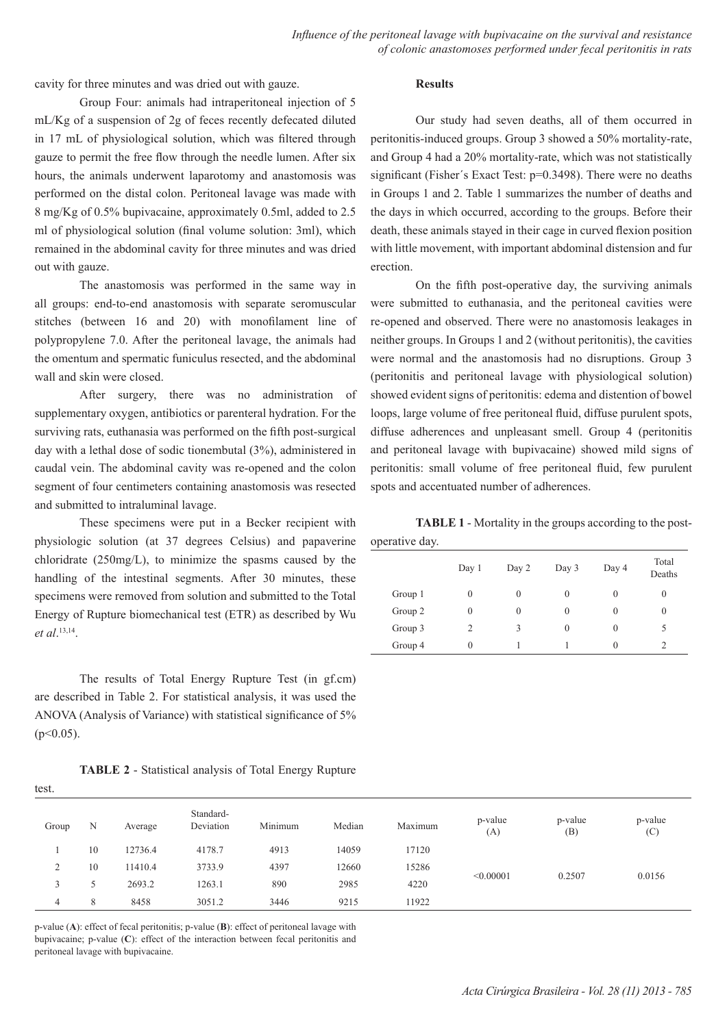cavity for three minutes and was dried out with gauze.

### **Results**

Group Four: animals had intraperitoneal injection of 5 mL/Kg of a suspension of 2g of feces recently defecated diluted in 17 mL of physiological solution, which was filtered through gauze to permit the free flow through the needle lumen. After six hours, the animals underwent laparotomy and anastomosis was performed on the distal colon. Peritoneal lavage was made with 8 mg/Kg of 0.5% bupivacaine, approximately 0.5ml, added to 2.5 ml of physiological solution (final volume solution: 3ml), which remained in the abdominal cavity for three minutes and was dried out with gauze.

The anastomosis was performed in the same way in all groups: end-to-end anastomosis with separate seromuscular stitches (between 16 and 20) with monofilament line of polypropylene 7.0. After the peritoneal lavage, the animals had the omentum and spermatic funiculus resected, and the abdominal wall and skin were closed.

After surgery, there was no administration of supplementary oxygen, antibiotics or parenteral hydration. For the surviving rats, euthanasia was performed on the fifth post-surgical day with a lethal dose of sodic tionembutal (3%), administered in caudal vein. The abdominal cavity was re-opened and the colon segment of four centimeters containing anastomosis was resected and submitted to intraluminal lavage.

These specimens were put in a Becker recipient with physiologic solution (at 37 degrees Celsius) and papaverine chloridrate (250mg/L), to minimize the spasms caused by the handling of the intestinal segments. After 30 minutes, these specimens were removed from solution and submitted to the Total Energy of Rupture biomechanical test (ETR) as described by Wu *et al*. 13,14.

The results of Total Energy Rupture Test (in gf.cm) are described in Table 2. For statistical analysis, it was used the ANOVA (Analysis of Variance) with statistical significance of 5%  $(p<0.05)$ .

test.

| <b>TABLE 2 - Statistical analysis of Total Energy Rupture</b> |  |  |  |  |
|---------------------------------------------------------------|--|--|--|--|
|---------------------------------------------------------------|--|--|--|--|

Our study had seven deaths, all of them occurred in peritonitis-induced groups. Group 3 showed a 50% mortality-rate, and Group 4 had a 20% mortality-rate, which was not statistically significant (Fisher's Exact Test: p=0.3498). There were no deaths in Groups 1 and 2. Table 1 summarizes the number of deaths and the days in which occurred, according to the groups. Before their death, these animals stayed in their cage in curved flexion position with little movement, with important abdominal distension and fur erection.

On the fifth post-operative day, the surviving animals were submitted to euthanasia, and the peritoneal cavities were re-opened and observed. There were no anastomosis leakages in neither groups. In Groups 1 and 2 (without peritonitis), the cavities were normal and the anastomosis had no disruptions. Group 3 (peritonitis and peritoneal lavage with physiological solution) showed evident signs of peritonitis: edema and distention of bowel loops, large volume of free peritoneal fluid, diffuse purulent spots, diffuse adherences and unpleasant smell. Group 4 (peritonitis and peritoneal lavage with bupivacaine) showed mild signs of peritonitis: small volume of free peritoneal fluid, few purulent spots and accentuated number of adherences.

**TABLE 1** - Mortality in the groups according to the post-

| operative day. |  |
|----------------|--|
|                |  |

| л.<br>┘ |              |          |              |          |                 |
|---------|--------------|----------|--------------|----------|-----------------|
|         | Day 1        | Day 2    | Day 3        | Day 4    | Total<br>Deaths |
| Group 1 | $\mathbf{0}$ | $\theta$ | $\mathbf{0}$ | 0        | $\mathbf{0}$    |
| Group 2 | $\mathbf{0}$ | $\theta$ | 0            | 0        | 0               |
| Group 3 | 2            | 3        | $\theta$     | $\theta$ |                 |
| Group 4 | $\theta$     |          |              | $\theta$ |                 |

| Group          | N  | Average | Standard-<br>Deviation | Minimum | Median | Maximum | p-value<br>(A) | p-value<br>(B) | p-value<br>(C) |
|----------------|----|---------|------------------------|---------|--------|---------|----------------|----------------|----------------|
|                | 10 | 12736.4 | 4178.7                 | 4913    | 14059  | 17120   |                |                |                |
| $\bigcap$<br>∠ | 10 | 11410.4 | 3733.9                 | 4397    | 12660  | 15286   |                |                |                |
| 3              |    | 2693.2  | 1263.1                 | 890     | 2985   | 4220    | < 0.00001      | 0.2507         | 0.0156         |
| $\overline{4}$ | 8  | 8458    | 3051.2                 | 3446    | 9215   | 11922   |                |                |                |

p-value (**A**): effect of fecal peritonitis; p-value (**B**): effect of peritoneal lavage with bupivacaine; p-value (**C**): effect of the interaction between fecal peritonitis and peritoneal lavage with bupivacaine.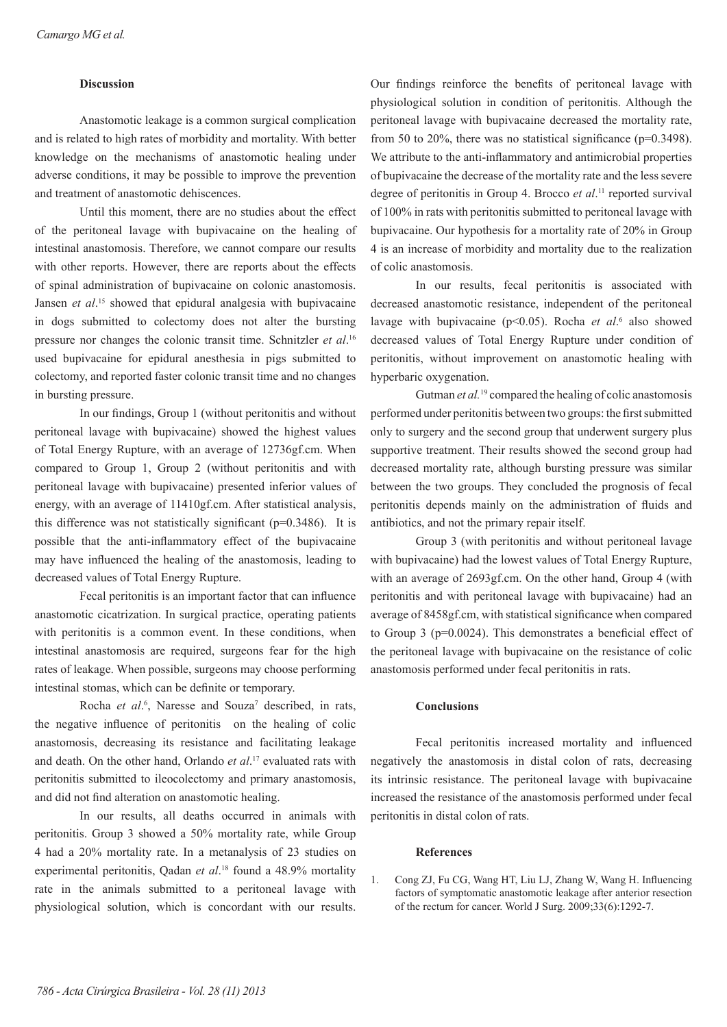### **Discussion**

Anastomotic leakage is a common surgical complication and is related to high rates of morbidity and mortality. With better knowledge on the mechanisms of anastomotic healing under adverse conditions, it may be possible to improve the prevention and treatment of anastomotic dehiscences.

Until this moment, there are no studies about the effect of the peritoneal lavage with bupivacaine on the healing of intestinal anastomosis. Therefore, we cannot compare our results with other reports. However, there are reports about the effects of spinal administration of bupivacaine on colonic anastomosis. Jansen *et al*. 15 showed that epidural analgesia with bupivacaine in dogs submitted to colectomy does not alter the bursting pressure nor changes the colonic transit time. Schnitzler *et al*. 16 used bupivacaine for epidural anesthesia in pigs submitted to colectomy, and reported faster colonic transit time and no changes in bursting pressure.

In our findings, Group 1 (without peritonitis and without peritoneal lavage with bupivacaine) showed the highest values of Total Energy Rupture, with an average of 12736gf.cm. When compared to Group 1, Group 2 (without peritonitis and with peritoneal lavage with bupivacaine) presented inferior values of energy, with an average of 11410gf.cm. After statistical analysis, this difference was not statistically significant (p=0.3486). It is possible that the anti-inflammatory effect of the bupivacaine may have influenced the healing of the anastomosis, leading to decreased values of Total Energy Rupture.

Fecal peritonitis is an important factor that can influence anastomotic cicatrization. In surgical practice, operating patients with peritonitis is a common event. In these conditions, when intestinal anastomosis are required, surgeons fear for the high rates of leakage. When possible, surgeons may choose performing intestinal stomas, which can be definite or temporary.

Rocha et al.<sup>6</sup>, Naresse and Souza<sup>7</sup> described, in rats, the negative influence of peritonitis on the healing of colic anastomosis, decreasing its resistance and facilitating leakage and death. On the other hand, Orlando *et al*. 17 evaluated rats with peritonitis submitted to ileocolectomy and primary anastomosis, and did not find alteration on anastomotic healing.

In our results, all deaths occurred in animals with peritonitis. Group 3 showed a 50% mortality rate, while Group 4 had a 20% mortality rate. In a metanalysis of 23 studies on experimental peritonitis, Qadan *et al*. 18 found a 48.9% mortality rate in the animals submitted to a peritoneal lavage with physiological solution, which is concordant with our results.

Our findings reinforce the benefits of peritoneal lavage with physiological solution in condition of peritonitis. Although the peritoneal lavage with bupivacaine decreased the mortality rate, from 50 to 20%, there was no statistical significance (p=0.3498). We attribute to the anti-inflammatory and antimicrobial properties of bupivacaine the decrease of the mortality rate and the less severe degree of peritonitis in Group 4. Brocco *et al*. <sup>11</sup> reported survival of 100% in rats with peritonitis submitted to peritoneal lavage with bupivacaine. Our hypothesis for a mortality rate of 20% in Group 4 is an increase of morbidity and mortality due to the realization of colic anastomosis.

In our results, fecal peritonitis is associated with decreased anastomotic resistance, independent of the peritoneal lavage with bupivacaine (p<0.05). Rocha *et al.*<sup>6</sup> also showed decreased values of Total Energy Rupture under condition of peritonitis, without improvement on anastomotic healing with hyperbaric oxygenation.

Gutman *et al.*19 compared the healing of colic anastomosis performed under peritonitis between two groups: the first submitted only to surgery and the second group that underwent surgery plus supportive treatment. Their results showed the second group had decreased mortality rate, although bursting pressure was similar between the two groups. They concluded the prognosis of fecal peritonitis depends mainly on the administration of fluids and antibiotics, and not the primary repair itself.

Group 3 (with peritonitis and without peritoneal lavage with bupivacaine) had the lowest values of Total Energy Rupture, with an average of 2693gf.cm. On the other hand, Group 4 (with peritonitis and with peritoneal lavage with bupivacaine) had an average of 8458gf.cm, with statistical significance when compared to Group 3 (p=0.0024). This demonstrates a beneficial effect of the peritoneal lavage with bupivacaine on the resistance of colic anastomosis performed under fecal peritonitis in rats.

## **Conclusions**

Fecal peritonitis increased mortality and influenced negatively the anastomosis in distal colon of rats, decreasing its intrinsic resistance. The peritoneal lavage with bupivacaine increased the resistance of the anastomosis performed under fecal peritonitis in distal colon of rats.

#### **References**

1. Cong ZJ, Fu CG, Wang HT, Liu LJ, Zhang W, Wang H. Influencing factors of symptomatic anastomotic leakage after anterior resection of the rectum for cancer. World J Surg. 2009;33(6):1292-7.